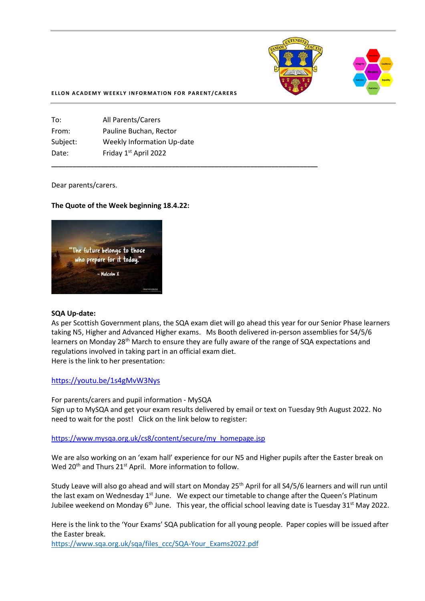

#### **ELLON ACADEMY WEEKLY INFORMATION FOR PARENT/CARERS**

**\_\_\_\_\_\_\_\_\_\_\_\_\_\_\_\_\_\_\_\_\_\_\_\_\_\_\_\_\_\_\_\_\_\_\_\_\_\_\_\_\_\_\_\_\_\_\_\_\_\_\_\_\_\_\_\_\_\_\_\_\_\_\_\_\_\_\_\_\_\_\_\_\_\_\_**

| <b>All Parents/Carers</b>         |
|-----------------------------------|
| Pauline Buchan, Rector            |
| <b>Weekly Information Up-date</b> |
| Friday 1st April 2022             |
|                                   |

Dear parents/carers.

### **The Quote of the Week beginning 18.4.22:**



### **SQA Up-date:**

As per Scottish Government plans, the SQA exam diet will go ahead this year for our Senior Phase learners taking N5, Higher and Advanced Higher exams. Ms Booth delivered in-person assemblies for S4/5/6 learners on Monday 28<sup>th</sup> March to ensure they are fully aware of the range of SQA expectations and regulations involved in taking part in an official exam diet. Here is the link to her presentation:

<https://youtu.be/1s4gMvW3Nys>

For parents/carers and pupil information - MySQA Sign up to MySQA and get your exam results delivered by email or text on Tuesday 9th August 2022. No need to wait for the post! Click on the link below to register:

[https://www.mysqa.org.uk/cs8/content/secure/my\\_homepage.jsp](https://l.facebook.com/l.php?u=https%3A%2F%2Fwww.mysqa.org.uk%2Fcs8%2Fcontent%2Fsecure%2Fmy_homepage.jsp%3Ffbclid%3DIwAR0g9GZcUpZZ_PpcfHl2y3dosYHZwsAJkTIxtkj3boI0iuwlwxVAOeYORos&h=AT1TA_siBgP3pWtRwa3CsNeeYwSViLWCiuyk9WaYbNJfRKCWnfBT3DquBeQdcDWSOjVCH7OBLhmVN9UBFRBQ4eMd33jfThP5o6I1uabUI067qsPSwGu3DHGi4mCezeZou9Vd&__tn__=-UK-R&c%5b0%5d=AT2pWJVD5PnBl5Hodj-l7hMPdqEYvq9oafQ2aT1mRhjk9_wVdOxx_BM7ICiqSLpqDv9AQTpEBQFJaBBy5lZmWQQjd8tS1nnLmcTbWBEoAv68rUxAuT0FbFW6VfjfK5fqA44sXpdGHhRikx2bLus9il3MpoK8f_m2Z0LTVS0qt1qfBXgTyX1VxtFkcgvouYIIw0gbH3Cp)

We are also working on an 'exam hall' experience for our N5 and Higher pupils after the Easter break on Wed 20<sup>th</sup> and Thurs 21<sup>st</sup> April. More information to follow.

Study Leave will also go ahead and will start on Monday 25th April for all S4/5/6 learners and will run until the last exam on Wednesday 1<sup>st</sup> June. We expect our timetable to change after the Queen's Platinum Jubilee weekend on Monday 6<sup>th</sup> June. This year, the official school leaving date is Tuesday 31<sup>st</sup> May 2022.

Here is the link to the 'Your Exams' SQA publication for all young people. Paper copies will be issued after the Easter break.

[https://www.sqa.org.uk/sqa/files\\_ccc/SQA-Your\\_Exams2022.pdf](https://www.sqa.org.uk/sqa/files_ccc/SQA-Your_Exams2022.pdf)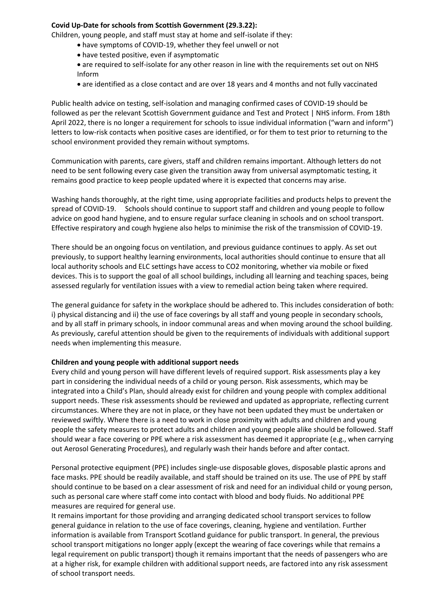# **Covid Up-Date for schools from Scottish Government (29.3.22):**

Children, young people, and staff must stay at home and self-isolate if they:

- have symptoms of COVID-19, whether they feel unwell or not
- have tested positive, even if asymptomatic
- are required to self-isolate for any other reason in line with the requirements set out on NHS Inform
- are identified as a close contact and are over 18 years and 4 months and not fully vaccinated

Public health advice on testing, self-isolation and managing confirmed cases of COVID-19 should be followed as per the relevant Scottish Government guidance and Test and Protect | NHS inform. From 18th April 2022, there is no longer a requirement for schools to issue individual information ("warn and inform") letters to low-risk contacts when positive cases are identified, or for them to test prior to returning to the school environment provided they remain without symptoms.

Communication with parents, care givers, staff and children remains important. Although letters do not need to be sent following every case given the transition away from universal asymptomatic testing, it remains good practice to keep people updated where it is expected that concerns may arise.

Washing hands thoroughly, at the right time, using appropriate facilities and products helps to prevent the spread of COVID-19. Schools should continue to support staff and children and young people to follow advice on good hand hygiene, and to ensure regular surface cleaning in schools and on school transport. Effective respiratory and cough hygiene also helps to minimise the risk of the transmission of COVID-19.

There should be an ongoing focus on ventilation, and previous guidance continues to apply. As set out previously, to support healthy learning environments, local authorities should continue to ensure that all local authority schools and ELC settings have access to CO2 monitoring, whether via mobile or fixed devices. This is to support the goal of all school buildings, including all learning and teaching spaces, being assessed regularly for ventilation issues with a view to remedial action being taken where required.

The general guidance for safety in the workplace should be adhered to. This includes consideration of both: i) physical distancing and ii) the use of face coverings by all staff and young people in secondary schools, and by all staff in primary schools, in indoor communal areas and when moving around the school building. As previously, careful attention should be given to the requirements of individuals with additional support needs when implementing this measure.

# **Children and young people with additional support needs**

Every child and young person will have different levels of required support. Risk assessments play a key part in considering the individual needs of a child or young person. Risk assessments, which may be integrated into a Child's Plan, should already exist for children and young people with complex additional support needs. These risk assessments should be reviewed and updated as appropriate, reflecting current circumstances. Where they are not in place, or they have not been updated they must be undertaken or reviewed swiftly. Where there is a need to work in close proximity with adults and children and young people the safety measures to protect adults and children and young people alike should be followed. Staff should wear a face covering or PPE where a risk assessment has deemed it appropriate (e.g., when carrying out Aerosol Generating Procedures), and regularly wash their hands before and after contact.

Personal protective equipment (PPE) includes single-use disposable gloves, disposable plastic aprons and face masks. PPE should be readily available, and staff should be trained on its use. The use of PPE by staff should continue to be based on a clear assessment of risk and need for an individual child or young person, such as personal care where staff come into contact with blood and body fluids. No additional PPE measures are required for general use.

It remains important for those providing and arranging dedicated school transport services to follow general guidance in relation to the use of face coverings, cleaning, hygiene and ventilation. Further information is available from Transport Scotland guidance for public transport. In general, the previous school transport mitigations no longer apply (except the wearing of face coverings while that remains a legal requirement on public transport) though it remains important that the needs of passengers who are at a higher risk, for example children with additional support needs, are factored into any risk assessment of school transport needs.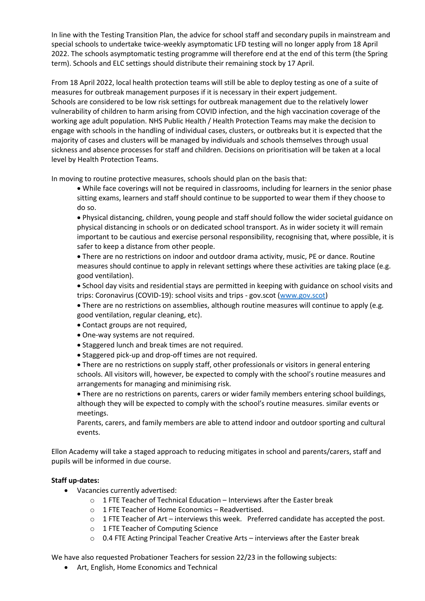In line with the Testing Transition Plan, the advice for school staff and secondary pupils in mainstream and special schools to undertake twice-weekly asymptomatic LFD testing will no longer apply from 18 April 2022. The schools asymptomatic testing programme will therefore end at the end of this term (the Spring term). Schools and ELC settings should distribute their remaining stock by 17 April.

From 18 April 2022, local health protection teams will still be able to deploy testing as one of a suite of measures for outbreak management purposes if it is necessary in their expert judgement. Schools are considered to be low risk settings for outbreak management due to the relatively lower vulnerability of children to harm arising from COVID infection, and the high vaccination coverage of the working age adult population. NHS Public Health / Health Protection Teams may make the decision to engage with schools in the handling of individual cases, clusters, or outbreaks but it is expected that the majority of cases and clusters will be managed by individuals and schools themselves through usual sickness and absence processes for staff and children. Decisions on prioritisation will be taken at a local level by Health Protection Teams.

In moving to routine protective measures, schools should plan on the basis that:

• While face coverings will not be required in classrooms, including for learners in the senior phase sitting exams, learners and staff should continue to be supported to wear them if they choose to do so.

• Physical distancing, children, young people and staff should follow the wider societal guidance on physical distancing in schools or on dedicated school transport. As in wider society it will remain important to be cautious and exercise personal responsibility, recognising that, where possible, it is safer to keep a distance from other people.

• There are no restrictions on indoor and outdoor drama activity, music, PE or dance. Routine measures should continue to apply in relevant settings where these activities are taking place (e.g. good ventilation).

• School day visits and residential stays are permitted in keeping with guidance on school visits and trips: Coronavirus (COVID-19): school visits and trips - gov.scot [\(www.gov.scot\)](http://www.gov.scot/)

• There are no restrictions on assemblies, although routine measures will continue to apply (e.g. good ventilation, regular cleaning, etc).

- Contact groups are not required,
- One-way systems are not required.
- Staggered lunch and break times are not required.
- Staggered pick-up and drop-off times are not required.

• There are no restrictions on supply staff, other professionals or visitors in general entering schools. All visitors will, however, be expected to comply with the school's routine measures and arrangements for managing and minimising risk.

• There are no restrictions on parents, carers or wider family members entering school buildings, although they will be expected to comply with the school's routine measures. similar events or meetings.

Parents, carers, and family members are able to attend indoor and outdoor sporting and cultural events.

Ellon Academy will take a staged approach to reducing mitigates in school and parents/carers, staff and pupils will be informed in due course.

# **Staff up-dates:**

- Vacancies currently advertised:
	- o 1 FTE Teacher of Technical Education Interviews after the Easter break
	- o 1 FTE Teacher of Home Economics Readvertised.
	- $\circ$  1 FTE Teacher of Art interviews this week. Preferred candidate has accepted the post.
	- o 1 FTE Teacher of Computing Science
	- $\circ$  0.4 FTE Acting Principal Teacher Creative Arts interviews after the Easter break

We have also requested Probationer Teachers for session 22/23 in the following subjects:

• Art, English, Home Economics and Technical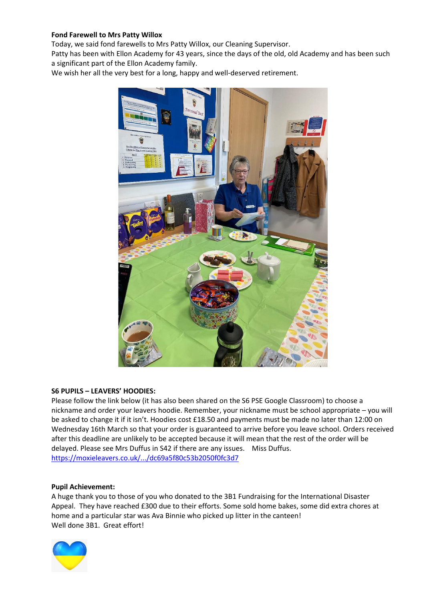# **Fond Farewell to Mrs Patty Willox**

Today, we said fond farewells to Mrs Patty Willox, our Cleaning Supervisor.

Patty has been with Ellon Academy for 43 years, since the days of the old, old Academy and has been such a significant part of the Ellon Academy family.

We wish her all the very best for a long, happy and well-deserved retirement.



# **S6 PUPILS – LEAVERS' HOODIES:**

Please follow the link below (it has also been shared on the S6 PSE Google Classroom) to choose a nickname and order your leavers hoodie. Remember, your nickname must be school appropriate – you will be asked to change it if it isn't. Hoodies cost £18.50 and payments must be made no later than 12:00 on Wednesday 16th March so that your order is guaranteed to arrive before you leave school. Orders received after this deadline are unlikely to be accepted because it will mean that the rest of the order will be delayed. Please see Mrs Duffus in S42 if there are any issues. Miss Duffus. [https://moxieleavers.co.uk/.../dc69a5f80c53b2050f0fc3d7](https://moxieleavers.co.uk/hoodie/OMnE23VDUJsiFH7tOZ0U/dc69a5f80c53b2050f0fc3d7?fbclid=IwAR1zMwQrRyNSzYnfZlKdANaOIse8StFLXEBoYQ0DQ-Hii_j_7y9EKa_kVqU)

# **Pupil Achievement:**

A huge thank you to those of you who donated to the 3B1 Fundraising for the International Disaster Appeal. They have reached £300 due to their efforts. Some sold home bakes, some did extra chores at home and a particular star was Ava Binnie who picked up litter in the canteen! Well done 3B1. Great effort!

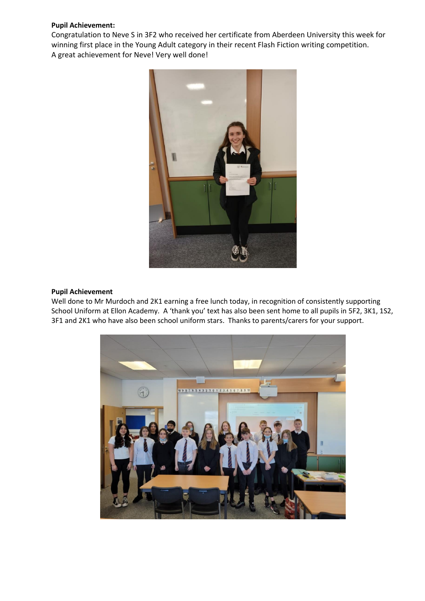# **Pupil Achievement:**

Congratulation to Neve S in 3F2 who received her certificate from Aberdeen University this week for winning first place in the Young Adult category in their recent Flash Fiction writing competition. A great achievement for Neve! Very well done!



## **Pupil Achievement**

Well done to Mr Murdoch and 2K1 earning a free lunch today, in recognition of consistently supporting School Uniform at Ellon Academy. A 'thank you' text has also been sent home to all pupils in 5F2, 3K1, 1S2, 3F1 and 2K1 who have also been school uniform stars. Thanks to parents/carers for your support.

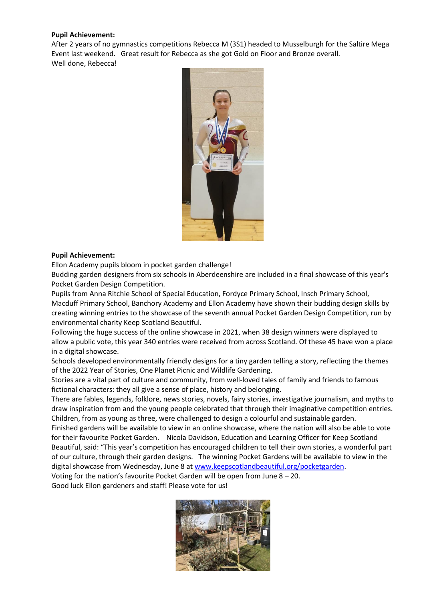# **Pupil Achievement:**

After 2 years of no gymnastics competitions Rebecca M (3S1) headed to Musselburgh for the Saltire Mega Event last weekend. Great result for Rebecca as she got Gold on Floor and Bronze overall. Well done, Rebecca!



### **Pupil Achievement:**

Ellon Academy pupils bloom in pocket garden challenge!

Budding garden designers from six schools in Aberdeenshire are included in a final showcase of this year's Pocket Garden Design Competition.

Pupils from Anna Ritchie School of Special Education, Fordyce Primary School, Insch Primary School, Macduff Primary School, Banchory Academy and Ellon Academy have shown their budding design skills by creating winning entries to the showcase of the seventh annual Pocket Garden Design Competition, run by environmental charity Keep Scotland Beautiful.

Following the huge success of the online showcase in 2021, when 38 design winners were displayed to allow a public vote, this year 340 entries were received from across Scotland. Of these 45 have won a place in a digital showcase.

Schools developed environmentally friendly designs for a tiny garden telling a story, reflecting the themes of the 2022 Year of Stories, One Planet Picnic and Wildlife Gardening.

Stories are a vital part of culture and community, from well-loved tales of family and friends to famous fictional characters: they all give a sense of place, history and belonging.

There are fables, legends, folklore, news stories, novels, fairy stories, investigative journalism, and myths to draw inspiration from and the young people celebrated that through their imaginative competition entries. Children, from as young as three, were challenged to design a colourful and sustainable garden.

Finished gardens will be available to view in an online showcase, where the nation will also be able to vote for their favourite Pocket Garden. Nicola Davidson, Education and Learning Officer for Keep Scotland Beautiful, said: "This year's competition has encouraged children to tell their own stories, a wonderful part of our culture, through their garden designs. The winning Pocket Gardens will be available to view in the digital showcase from Wednesday, June 8 a[t www.keepscotlandbeautiful.org/pocketgarden.](http://www.keepscotlandbeautiful.org/pocketgarden?fbclid=IwAR30uR8pQuStjYZ0CVL5KEFX9LMZkoOU6yExLH7X9KuKUInkjRJoLf_iRqM)

Voting for the nation's favourite Pocket Garden will be open from June 8 – 20. Good luck Ellon gardeners and staff! Please vote for us!